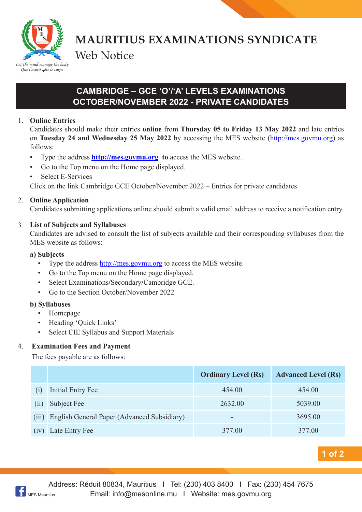

**MAURITIUS EXAMINATIONS SYNDICATE** Web Notice

# **CAMBRIDGE – GCE 'O'/'A' LEVELS EXAMINATIONS OCTOBER/NOVEMBER 2022 - PRIVATE CANDIDATES**

## 1. **Online Entries**

Candidates should make their entries **online** from **Thursday 05 to Friday 13 May 2022** and late entries on **Tuesday 24 and Wednesday 25 May 2022** by accessing the MES website (http://mes.govmu.org) as follows:

- Type the address **http://mes.govmu.org** to access the MES website.
- • Go to the Top menu on the Home page displayed.
- **Select E-Services**

Click on the link Cambridge GCE October/November 2022 – Entries for private candidates

## 2. **Online Application**

Candidates submitting applications online should submit a valid email address to receive a notification entry.

## 3. **List of Subjects and Syllabuses**

Candidates are advised to consult the list of subjects available and their corresponding syllabuses from the MES website as follows:

#### **a) Subjects**

- Type the address http://mes.govmu.org to access the MES website.
- Go to the Top menu on the Home page displayed.
- Select Examinations/Secondary/Cambridge GCE.
- Go to the Section October/November 2022

#### **b) Syllabuses**

- • Homepage
- Heading 'Ouick Links'
- • Select CIE Syllabus and Support Materials

#### 4. **Examination Fees and Payment**

The fees payable are as follows:

|       |                                             | <b>Ordinary Level (Rs)</b> | <b>Advanced Level (Rs)</b> |
|-------|---------------------------------------------|----------------------------|----------------------------|
| (1)   | Initial Entry Fee                           | 454.00                     | 454.00                     |
| (11)  | Subject Fee                                 | 2632.00                    | 5039.00                    |
| (iii) | English General Paper (Advanced Subsidiary) | -                          | 3695.00                    |
| (1V)  | Late Entry Fee                              | 377.00                     | 377.00                     |

**1 of 2**